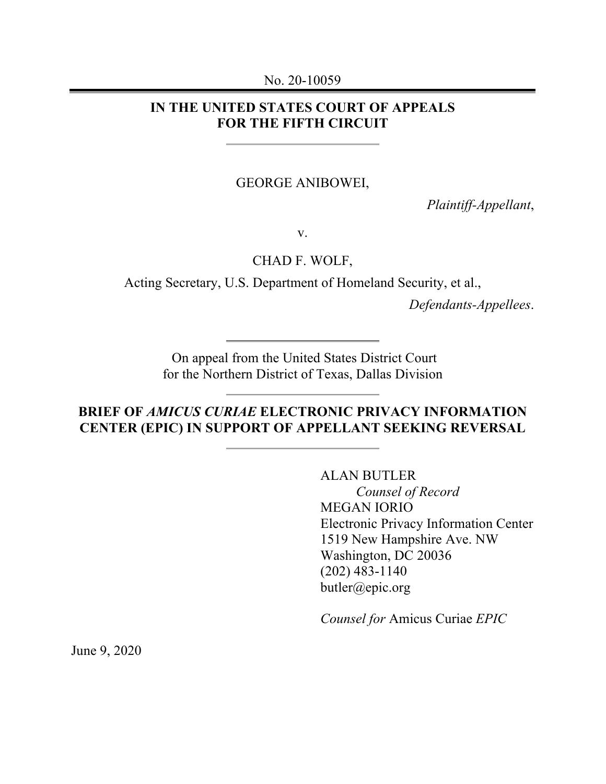#### No. 20-10059

## **IN THE UNITED STATES COURT OF APPEALS FOR THE FIFTH CIRCUIT**

#### GEORGE ANIBOWEI,

*Plaintiff-Appellant*,

v.

CHAD F. WOLF,

Acting Secretary, U.S. Department of Homeland Security, et al.,

*Defendants-Appellees*.

On appeal from the United States District Court for the Northern District of Texas, Dallas Division

# **BRIEF OF** *AMICUS CURIAE* **ELECTRONIC PRIVACY INFORMATION CENTER (EPIC) IN SUPPORT OF APPELLANT SEEKING REVERSAL**

ALAN BUTLER *Counsel of Record* MEGAN IORIO Electronic Privacy Information Center 1519 New Hampshire Ave. NW Washington, DC 20036 (202) 483-1140 butler@epic.org

*Counsel for* Amicus Curiae *EPIC*

June 9, 2020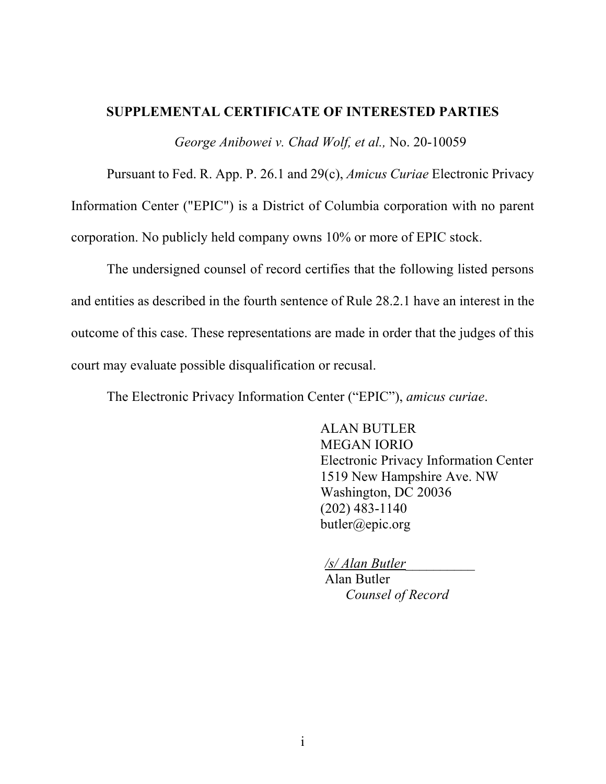## **SUPPLEMENTAL CERTIFICATE OF INTERESTED PARTIES**

*George Anibowei v. Chad Wolf, et al.,* No. 20-10059

Pursuant to Fed. R. App. P. 26.1 and 29(c), *Amicus Curiae* Electronic Privacy Information Center ("EPIC") is a District of Columbia corporation with no parent corporation. No publicly held company owns 10% or more of EPIC stock.

The undersigned counsel of record certifies that the following listed persons and entities as described in the fourth sentence of Rule 28.2.1 have an interest in the outcome of this case. These representations are made in order that the judges of this court may evaluate possible disqualification or recusal.

The Electronic Privacy Information Center ("EPIC"), *amicus curiae*.

ALAN BUTLER MEGAN IORIO Electronic Privacy Information Center 1519 New Hampshire Ave. NW Washington, DC 20036 (202) 483-1140 butler@epic.org

*/s/ Alan Butler*\_\_\_\_\_\_\_\_\_\_ Alan Butler *Counsel of Record*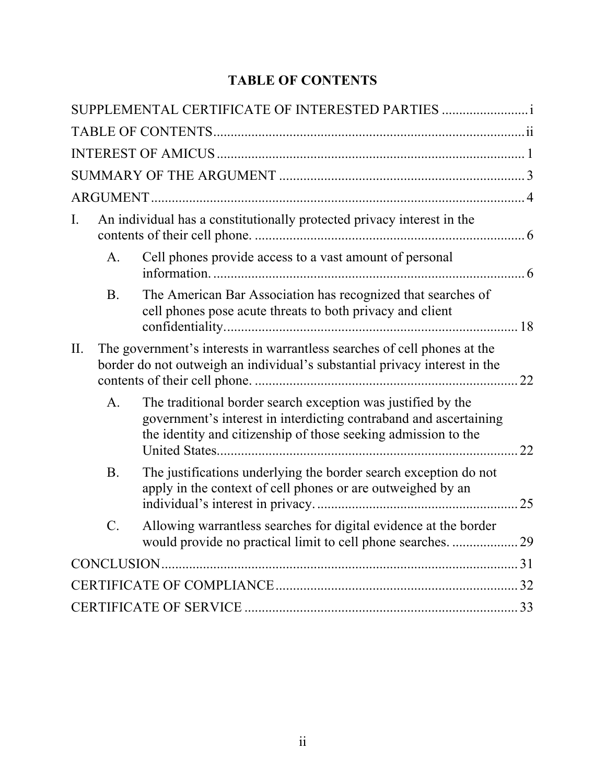# **TABLE OF CONTENTS**

|     |                                                                                                                                                        | SUPPLEMENTAL CERTIFICATE OF INTERESTED PARTIES                                                                                                                                                      |     |
|-----|--------------------------------------------------------------------------------------------------------------------------------------------------------|-----------------------------------------------------------------------------------------------------------------------------------------------------------------------------------------------------|-----|
|     |                                                                                                                                                        |                                                                                                                                                                                                     |     |
|     |                                                                                                                                                        |                                                                                                                                                                                                     |     |
|     |                                                                                                                                                        |                                                                                                                                                                                                     |     |
|     |                                                                                                                                                        |                                                                                                                                                                                                     |     |
| Ι.  | An individual has a constitutionally protected privacy interest in the                                                                                 |                                                                                                                                                                                                     |     |
|     | A <sub>1</sub>                                                                                                                                         | Cell phones provide access to a vast amount of personal                                                                                                                                             |     |
|     | <b>B.</b>                                                                                                                                              | The American Bar Association has recognized that searches of<br>cell phones pose acute threats to both privacy and client                                                                           |     |
| II. | The government's interests in warrantless searches of cell phones at the<br>border do not outweigh an individual's substantial privacy interest in the |                                                                                                                                                                                                     |     |
|     | A.                                                                                                                                                     | The traditional border search exception was justified by the<br>government's interest in interdicting contraband and ascertaining<br>the identity and citizenship of those seeking admission to the | 22. |
|     | <b>B.</b>                                                                                                                                              | The justifications underlying the border search exception do not<br>apply in the context of cell phones or are outweighed by an                                                                     | .25 |
|     | $C$ .                                                                                                                                                  | Allowing warrantless searches for digital evidence at the border<br>would provide no practical limit to cell phone searches. 29                                                                     |     |
|     |                                                                                                                                                        |                                                                                                                                                                                                     |     |
|     |                                                                                                                                                        |                                                                                                                                                                                                     |     |
|     |                                                                                                                                                        |                                                                                                                                                                                                     |     |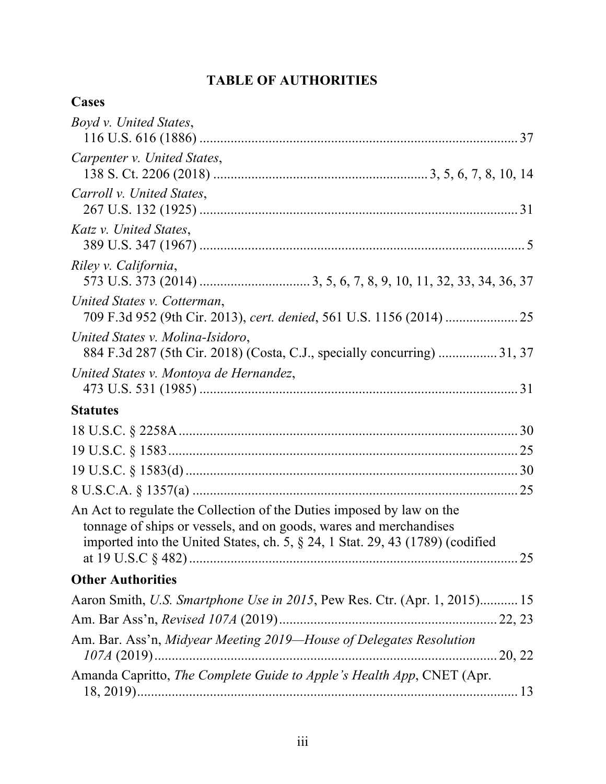# **TABLE OF AUTHORITIES**

# **Cases**

| Boyd v. United States,                                                                                                                                                                                                               |
|--------------------------------------------------------------------------------------------------------------------------------------------------------------------------------------------------------------------------------------|
| Carpenter v. United States,                                                                                                                                                                                                          |
| Carroll v. United States,                                                                                                                                                                                                            |
| Katz v. United States,                                                                                                                                                                                                               |
| Riley v. California,                                                                                                                                                                                                                 |
| United States v. Cotterman,<br>709 F.3d 952 (9th Cir. 2013), cert. denied, 561 U.S. 1156 (2014)  25                                                                                                                                  |
| United States v. Molina-Isidoro,<br>884 F.3d 287 (5th Cir. 2018) (Costa, C.J., specially concurring)  31, 37                                                                                                                         |
| United States v. Montoya de Hernandez,                                                                                                                                                                                               |
| <b>Statutes</b>                                                                                                                                                                                                                      |
|                                                                                                                                                                                                                                      |
|                                                                                                                                                                                                                                      |
|                                                                                                                                                                                                                                      |
|                                                                                                                                                                                                                                      |
| An Act to regulate the Collection of the Duties imposed by law on the<br>tonnage of ships or vessels, and on goods, wares and merchandises<br>imported into the United States, ch. 5, $\S$ 24, 1 Stat. 29, 43 (1789) (codified<br>25 |
| <b>Other Authorities</b>                                                                                                                                                                                                             |
| Aaron Smith, U.S. Smartphone Use in 2015, Pew Res. Ctr. (Apr. 1, 2015) 15                                                                                                                                                            |
|                                                                                                                                                                                                                                      |
| Am. Bar. Ass'n, Midyear Meeting 2019-House of Delegates Resolution                                                                                                                                                                   |
| Amanda Capritto, The Complete Guide to Apple's Health App, CNET (Apr.                                                                                                                                                                |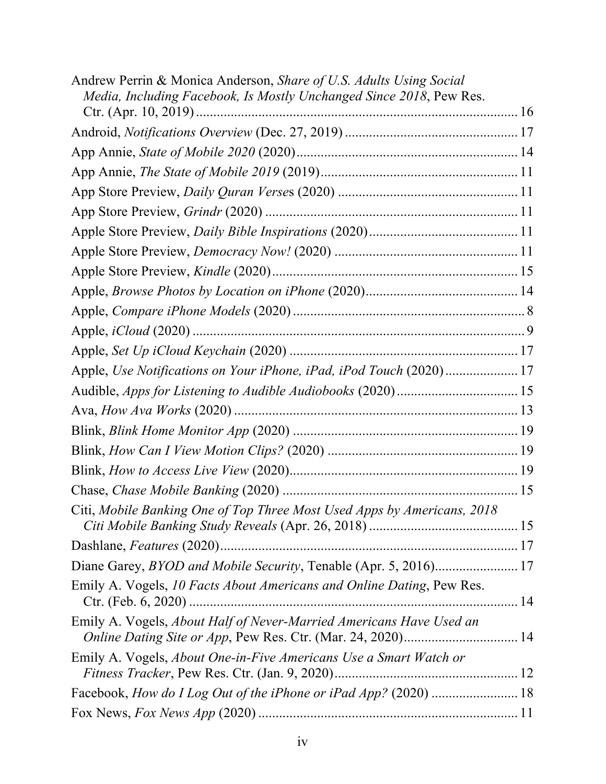| Andrew Perrin & Monica Anderson, Share of U.S. Adults Using Social<br>Media, Including Facebook, Is Mostly Unchanged Since 2018, Pew Res. |  |
|-------------------------------------------------------------------------------------------------------------------------------------------|--|
|                                                                                                                                           |  |
|                                                                                                                                           |  |
|                                                                                                                                           |  |
|                                                                                                                                           |  |
|                                                                                                                                           |  |
|                                                                                                                                           |  |
|                                                                                                                                           |  |
|                                                                                                                                           |  |
|                                                                                                                                           |  |
|                                                                                                                                           |  |
|                                                                                                                                           |  |
|                                                                                                                                           |  |
| Apple, Use Notifications on Your iPhone, iPad, iPod Touch (2020) 17                                                                       |  |
|                                                                                                                                           |  |
|                                                                                                                                           |  |
|                                                                                                                                           |  |
|                                                                                                                                           |  |
|                                                                                                                                           |  |
|                                                                                                                                           |  |
| Citi, Mobile Banking One of Top Three Most Used Apps by Americans, 2018                                                                   |  |
|                                                                                                                                           |  |
| Diane Garey, BYOD and Mobile Security, Tenable (Apr. 5, 2016) 17                                                                          |  |
| Emily A. Vogels, 10 Facts About Americans and Online Dating, Pew Res.                                                                     |  |
| Emily A. Vogels, About Half of Never-Married Americans Have Used an<br>Online Dating Site or App, Pew Res. Ctr. (Mar. 24, 2020) 14        |  |
| Emily A. Vogels, About One-in-Five Americans Use a Smart Watch or                                                                         |  |
|                                                                                                                                           |  |
|                                                                                                                                           |  |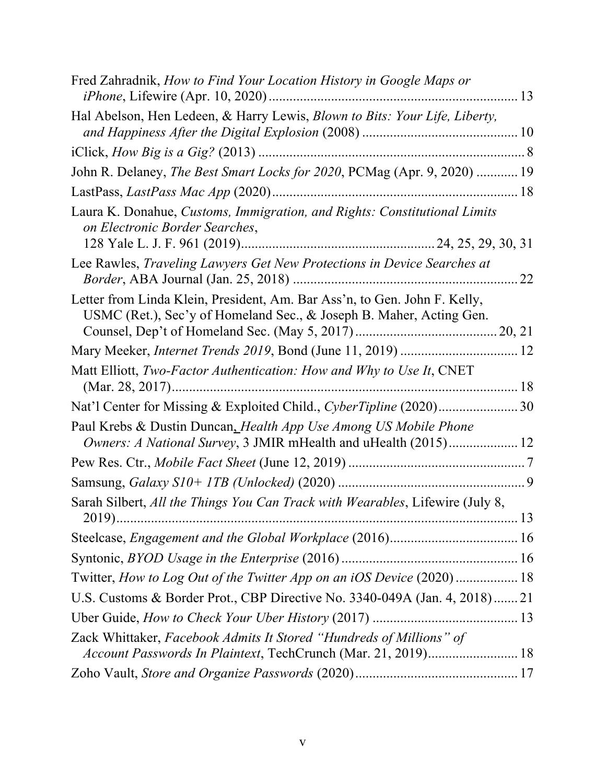| Fred Zahradnik, How to Find Your Location History in Google Maps or                                                                              |  |
|--------------------------------------------------------------------------------------------------------------------------------------------------|--|
| Hal Abelson, Hen Ledeen, & Harry Lewis, Blown to Bits: Your Life, Liberty,                                                                       |  |
|                                                                                                                                                  |  |
| John R. Delaney, The Best Smart Locks for 2020, PCMag (Apr. 9, 2020)  19                                                                         |  |
|                                                                                                                                                  |  |
| Laura K. Donahue, Customs, Immigration, and Rights: Constitutional Limits<br>on Electronic Border Searches,                                      |  |
|                                                                                                                                                  |  |
| Lee Rawles, Traveling Lawyers Get New Protections in Device Searches at                                                                          |  |
| Letter from Linda Klein, President, Am. Bar Ass'n, to Gen. John F. Kelly,<br>USMC (Ret.), Sec'y of Homeland Sec., & Joseph B. Maher, Acting Gen. |  |
| Mary Meeker, Internet Trends 2019, Bond (June 11, 2019)  12                                                                                      |  |
| Matt Elliott, Two-Factor Authentication: How and Why to Use It, CNET                                                                             |  |
| Nat'l Center for Missing & Exploited Child., CyberTipline (2020) 30                                                                              |  |
| Paul Krebs & Dustin Duncan, Health App Use Among US Mobile Phone                                                                                 |  |
|                                                                                                                                                  |  |
|                                                                                                                                                  |  |
| Sarah Silbert, All the Things You Can Track with Wearables, Lifewire (July 8,                                                                    |  |
|                                                                                                                                                  |  |
|                                                                                                                                                  |  |
|                                                                                                                                                  |  |
| Twitter, How to Log Out of the Twitter App on an iOS Device (2020)  18                                                                           |  |
| U.S. Customs & Border Prot., CBP Directive No. 3340-049A (Jan. 4, 2018) 21                                                                       |  |
|                                                                                                                                                  |  |
| Zack Whittaker, Facebook Admits It Stored "Hundreds of Millions" of<br>Account Passwords In Plaintext, TechCrunch (Mar. 21, 2019) 18             |  |
|                                                                                                                                                  |  |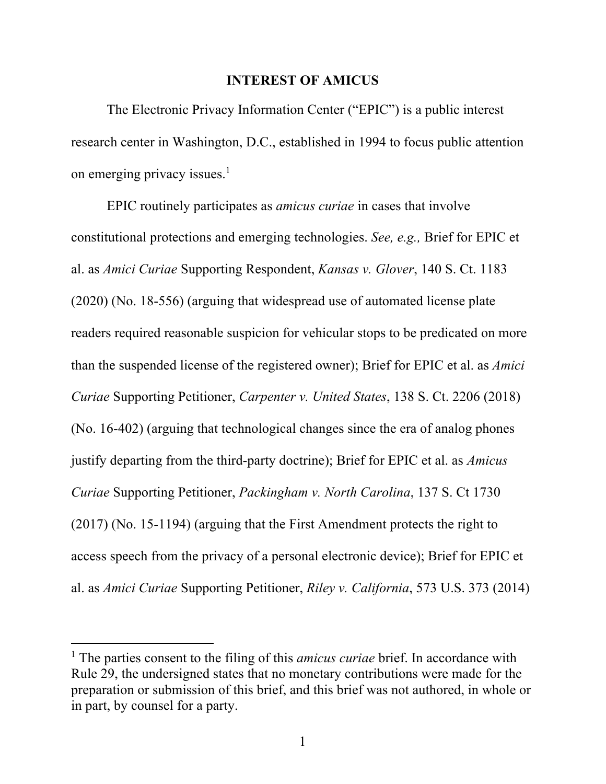#### **INTEREST OF AMICUS**

The Electronic Privacy Information Center ("EPIC") is a public interest research center in Washington, D.C., established in 1994 to focus public attention on emerging privacy issues.<sup>1</sup>

EPIC routinely participates as *amicus curiae* in cases that involve constitutional protections and emerging technologies. *See, e.g.,* Brief for EPIC et al. as *Amici Curiae* Supporting Respondent, *Kansas v. Glover*, 140 S. Ct. 1183 (2020) (No. 18-556) (arguing that widespread use of automated license plate readers required reasonable suspicion for vehicular stops to be predicated on more than the suspended license of the registered owner); Brief for EPIC et al. as *Amici Curiae* Supporting Petitioner, *Carpenter v. United States*, 138 S. Ct. 2206 (2018) (No. 16-402) (arguing that technological changes since the era of analog phones justify departing from the third-party doctrine); Brief for EPIC et al. as *Amicus Curiae* Supporting Petitioner, *Packingham v. North Carolina*, 137 S. Ct 1730 (2017) (No. 15-1194) (arguing that the First Amendment protects the right to access speech from the privacy of a personal electronic device); Brief for EPIC et al. as *Amici Curiae* Supporting Petitioner, *Riley v. California*, 573 U.S. 373 (2014)

<sup>&</sup>lt;sup>1</sup> The parties consent to the filing of this *amicus curiae* brief. In accordance with Rule 29, the undersigned states that no monetary contributions were made for the preparation or submission of this brief, and this brief was not authored, in whole or in part, by counsel for a party.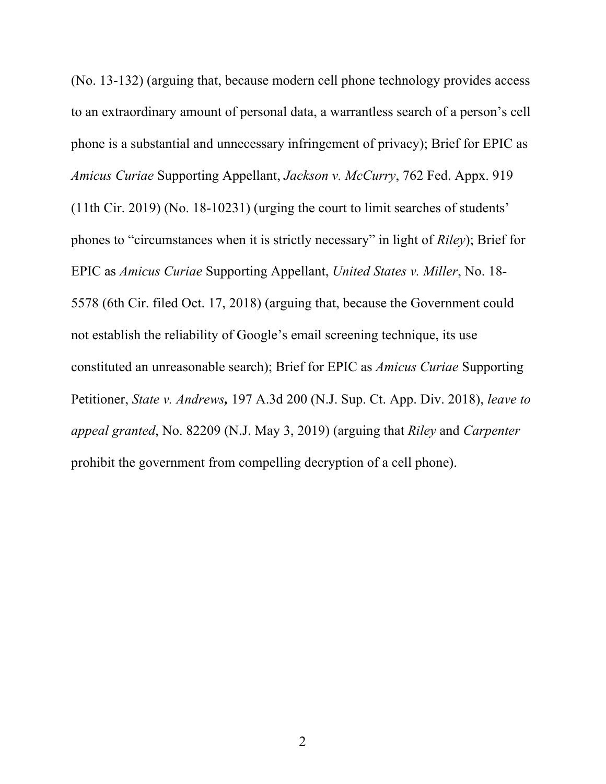(No. 13-132) (arguing that, because modern cell phone technology provides access to an extraordinary amount of personal data, a warrantless search of a person's cell phone is a substantial and unnecessary infringement of privacy); Brief for EPIC as *Amicus Curiae* Supporting Appellant, *Jackson v. McCurry*, 762 Fed. Appx. 919 (11th Cir. 2019) (No. 18-10231) (urging the court to limit searches of students' phones to "circumstances when it is strictly necessary" in light of *Riley*); Brief for EPIC as *Amicus Curiae* Supporting Appellant, *United States v. Miller*, No. 18- 5578 (6th Cir. filed Oct. 17, 2018) (arguing that, because the Government could not establish the reliability of Google's email screening technique, its use constituted an unreasonable search); Brief for EPIC as *Amicus Curiae* Supporting Petitioner, *State v. Andrews,* 197 A.3d 200 (N.J. Sup. Ct. App. Div. 2018), *leave to appeal granted*, No. 82209 (N.J. May 3, 2019) (arguing that *Riley* and *Carpenter* prohibit the government from compelling decryption of a cell phone).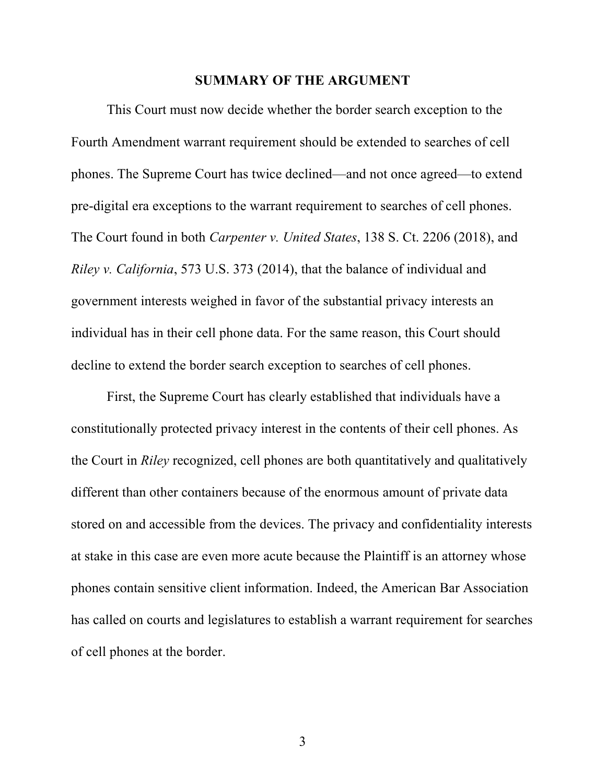#### **SUMMARY OF THE ARGUMENT**

This Court must now decide whether the border search exception to the Fourth Amendment warrant requirement should be extended to searches of cell phones. The Supreme Court has twice declined—and not once agreed—to extend pre-digital era exceptions to the warrant requirement to searches of cell phones. The Court found in both *Carpenter v. United States*, 138 S. Ct. 2206 (2018), and *Riley v. California*, 573 U.S. 373 (2014), that the balance of individual and government interests weighed in favor of the substantial privacy interests an individual has in their cell phone data. For the same reason, this Court should decline to extend the border search exception to searches of cell phones.

First, the Supreme Court has clearly established that individuals have a constitutionally protected privacy interest in the contents of their cell phones. As the Court in *Riley* recognized, cell phones are both quantitatively and qualitatively different than other containers because of the enormous amount of private data stored on and accessible from the devices. The privacy and confidentiality interests at stake in this case are even more acute because the Plaintiff is an attorney whose phones contain sensitive client information. Indeed, the American Bar Association has called on courts and legislatures to establish a warrant requirement for searches of cell phones at the border.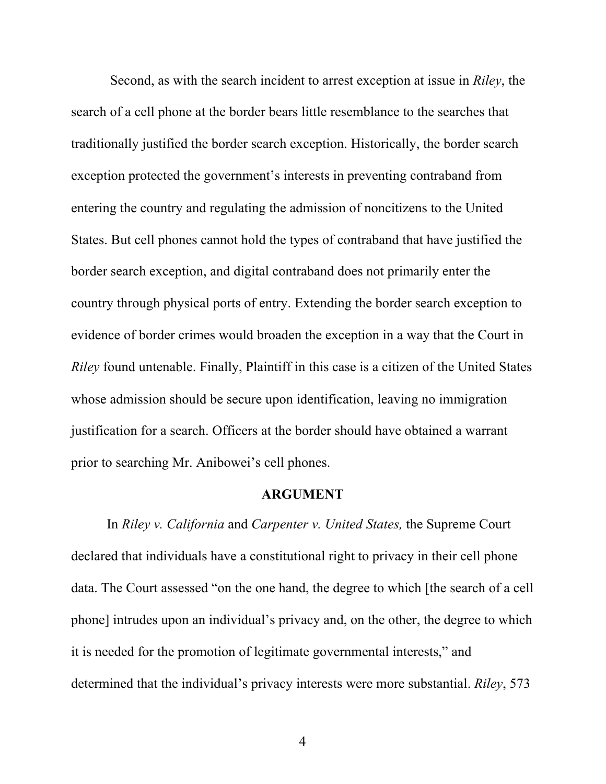Second, as with the search incident to arrest exception at issue in *Riley*, the search of a cell phone at the border bears little resemblance to the searches that traditionally justified the border search exception. Historically, the border search exception protected the government's interests in preventing contraband from entering the country and regulating the admission of noncitizens to the United States. But cell phones cannot hold the types of contraband that have justified the border search exception, and digital contraband does not primarily enter the country through physical ports of entry. Extending the border search exception to evidence of border crimes would broaden the exception in a way that the Court in *Riley* found untenable. Finally, Plaintiff in this case is a citizen of the United States whose admission should be secure upon identification, leaving no immigration justification for a search. Officers at the border should have obtained a warrant prior to searching Mr. Anibowei's cell phones.

#### **ARGUMENT**

In *Riley v. California* and *Carpenter v. United States,* the Supreme Court declared that individuals have a constitutional right to privacy in their cell phone data. The Court assessed "on the one hand, the degree to which [the search of a cell phone] intrudes upon an individual's privacy and, on the other, the degree to which it is needed for the promotion of legitimate governmental interests," and determined that the individual's privacy interests were more substantial. *Riley*, 573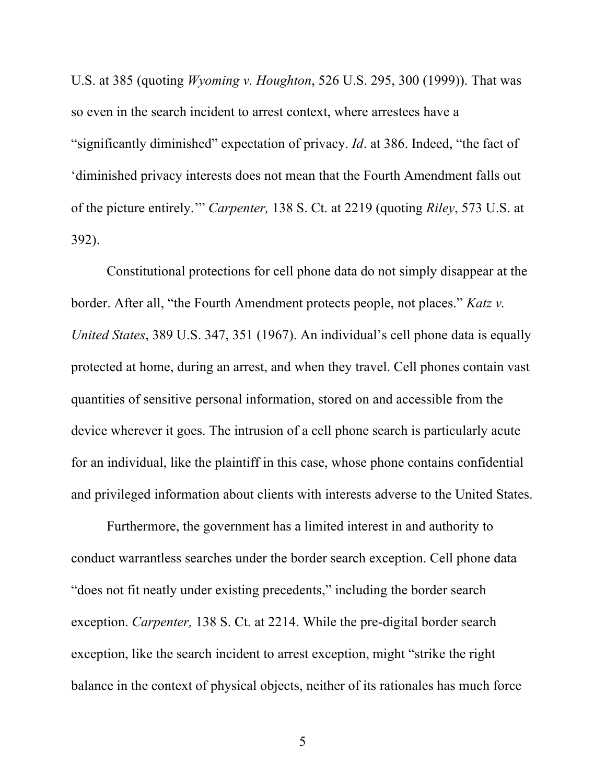U.S. at 385 (quoting *Wyoming v. Houghton*, 526 U.S. 295, 300 (1999)). That was so even in the search incident to arrest context, where arrestees have a "significantly diminished" expectation of privacy. *Id*. at 386. Indeed, "the fact of 'diminished privacy interests does not mean that the Fourth Amendment falls out of the picture entirely.'" *Carpenter,* 138 S. Ct. at 2219 (quoting *Riley*, 573 U.S. at 392).

Constitutional protections for cell phone data do not simply disappear at the border. After all, "the Fourth Amendment protects people, not places." *Katz v. United States*, 389 U.S. 347, 351 (1967). An individual's cell phone data is equally protected at home, during an arrest, and when they travel. Cell phones contain vast quantities of sensitive personal information, stored on and accessible from the device wherever it goes. The intrusion of a cell phone search is particularly acute for an individual, like the plaintiff in this case, whose phone contains confidential and privileged information about clients with interests adverse to the United States.

Furthermore, the government has a limited interest in and authority to conduct warrantless searches under the border search exception. Cell phone data "does not fit neatly under existing precedents," including the border search exception. *Carpenter,* 138 S. Ct. at 2214. While the pre-digital border search exception, like the search incident to arrest exception, might "strike the right balance in the context of physical objects, neither of its rationales has much force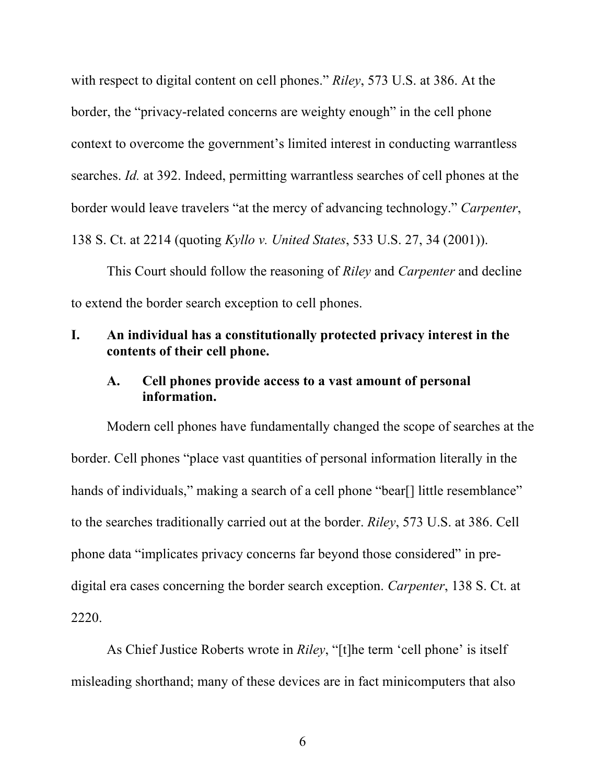with respect to digital content on cell phones." *Riley*, 573 U.S. at 386. At the border, the "privacy-related concerns are weighty enough" in the cell phone context to overcome the government's limited interest in conducting warrantless searches. *Id.* at 392. Indeed, permitting warrantless searches of cell phones at the border would leave travelers "at the mercy of advancing technology." *Carpenter*, 138 S. Ct. at 2214 (quoting *Kyllo v. United States*, 533 U.S. 27, 34 (2001)).

This Court should follow the reasoning of *Riley* and *Carpenter* and decline to extend the border search exception to cell phones.

# **I. An individual has a constitutionally protected privacy interest in the contents of their cell phone.**

## **A. Cell phones provide access to a vast amount of personal information.**

Modern cell phones have fundamentally changed the scope of searches at the border. Cell phones "place vast quantities of personal information literally in the hands of individuals," making a search of a cell phone "bear[] little resemblance" to the searches traditionally carried out at the border. *Riley*, 573 U.S. at 386. Cell phone data "implicates privacy concerns far beyond those considered" in predigital era cases concerning the border search exception. *Carpenter*, 138 S. Ct. at 2220.

As Chief Justice Roberts wrote in *Riley*, "[t]he term 'cell phone' is itself misleading shorthand; many of these devices are in fact minicomputers that also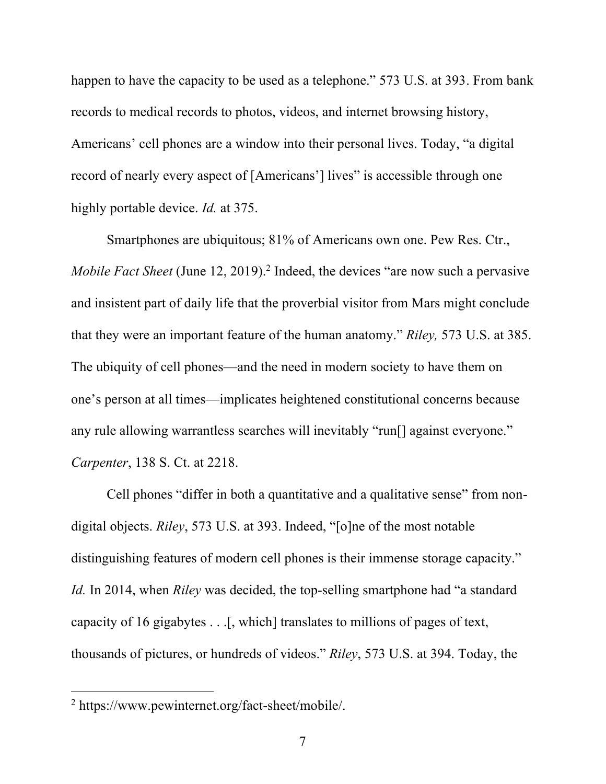happen to have the capacity to be used as a telephone." 573 U.S. at 393. From bank records to medical records to photos, videos, and internet browsing history, Americans' cell phones are a window into their personal lives. Today, "a digital record of nearly every aspect of [Americans'] lives" is accessible through one highly portable device. *Id.* at 375.

Smartphones are ubiquitous; 81% of Americans own one. Pew Res. Ctr., *Mobile Fact Sheet* (June 12, 2019). <sup>2</sup> Indeed, the devices "are now such a pervasive and insistent part of daily life that the proverbial visitor from Mars might conclude that they were an important feature of the human anatomy." *Riley,* 573 U.S. at 385. The ubiquity of cell phones—and the need in modern society to have them on one's person at all times—implicates heightened constitutional concerns because any rule allowing warrantless searches will inevitably "run[] against everyone." *Carpenter*, 138 S. Ct. at 2218.

Cell phones "differ in both a quantitative and a qualitative sense" from nondigital objects. *Riley*, 573 U.S. at 393. Indeed, "[o]ne of the most notable distinguishing features of modern cell phones is their immense storage capacity." *Id.* In 2014, when *Riley* was decided, the top-selling smartphone had "a standard capacity of 16 gigabytes . . .[, which] translates to millions of pages of text, thousands of pictures, or hundreds of videos." *Riley*, 573 U.S. at 394. Today, the

<sup>2</sup> https://www.pewinternet.org/fact-sheet/mobile/.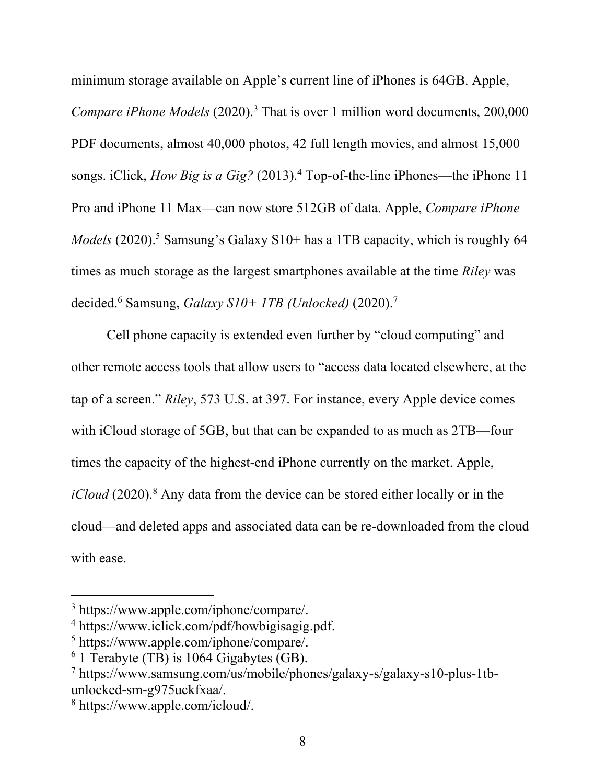minimum storage available on Apple's current line of iPhones is 64GB. Apple, *Compare iPhone Models* (2020). <sup>3</sup> That is over 1 million word documents, 200,000 PDF documents, almost 40,000 photos, 42 full length movies, and almost 15,000 songs. iClick, *How Big is a Gig?* (2013). <sup>4</sup> Top-of-the-line iPhones—the iPhone 11 Pro and iPhone 11 Max—can now store 512GB of data. Apple, *Compare iPhone Models* (2020). <sup>5</sup> Samsung's Galaxy S10+ has a 1TB capacity, which is roughly 64 times as much storage as the largest smartphones available at the time *Riley* was decided. <sup>6</sup> Samsung, *Galaxy S10+ 1TB (Unlocked)* (2020). 7

Cell phone capacity is extended even further by "cloud computing" and other remote access tools that allow users to "access data located elsewhere, at the tap of a screen." *Riley*, 573 U.S. at 397. For instance, every Apple device comes with iCloud storage of 5GB, but that can be expanded to as much as 2TB—four times the capacity of the highest-end iPhone currently on the market. Apple, *iCloud* (2020). <sup>8</sup> Any data from the device can be stored either locally or in the cloud—and deleted apps and associated data can be re-downloaded from the cloud with ease.

<sup>3</sup> https://www.apple.com/iphone/compare/.

<sup>4</sup> https://www.iclick.com/pdf/howbigisagig.pdf.

<sup>5</sup> https://www.apple.com/iphone/compare/.

 $6$  1 Terabyte (TB) is 1064 Gigabytes (GB).

<sup>7</sup> https://www.samsung.com/us/mobile/phones/galaxy-s/galaxy-s10-plus-1tbunlocked-sm-g975uckfxaa/.

<sup>8</sup> https://www.apple.com/icloud/.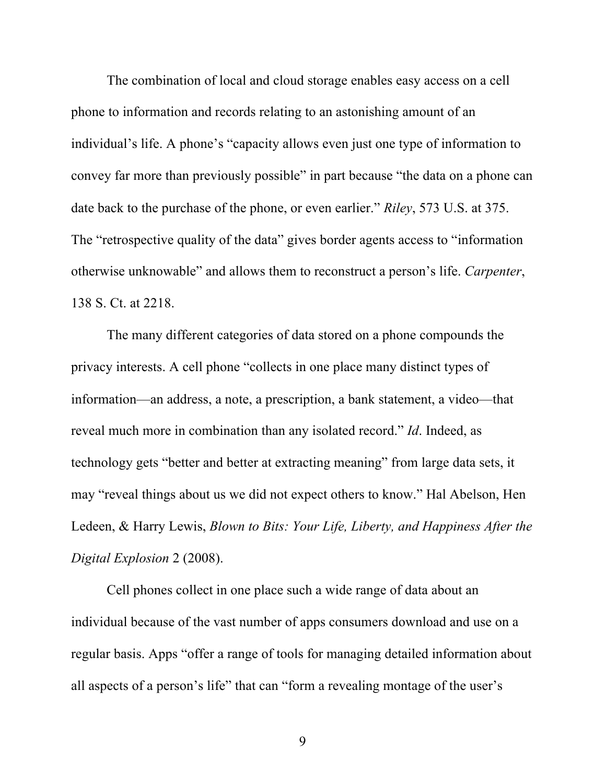The combination of local and cloud storage enables easy access on a cell phone to information and records relating to an astonishing amount of an individual's life. A phone's "capacity allows even just one type of information to convey far more than previously possible" in part because "the data on a phone can date back to the purchase of the phone, or even earlier." *Riley*, 573 U.S. at 375. The "retrospective quality of the data" gives border agents access to "information" otherwise unknowable" and allows them to reconstruct a person's life. *Carpenter*, 138 S. Ct. at 2218.

The many different categories of data stored on a phone compounds the privacy interests. A cell phone "collects in one place many distinct types of information—an address, a note, a prescription, a bank statement, a video—that reveal much more in combination than any isolated record." *Id*. Indeed, as technology gets "better and better at extracting meaning" from large data sets, it may "reveal things about us we did not expect others to know." Hal Abelson, Hen Ledeen, & Harry Lewis, *Blown to Bits: Your Life, Liberty, and Happiness After the Digital Explosion* 2 (2008).

Cell phones collect in one place such a wide range of data about an individual because of the vast number of apps consumers download and use on a regular basis. Apps "offer a range of tools for managing detailed information about all aspects of a person's life" that can "form a revealing montage of the user's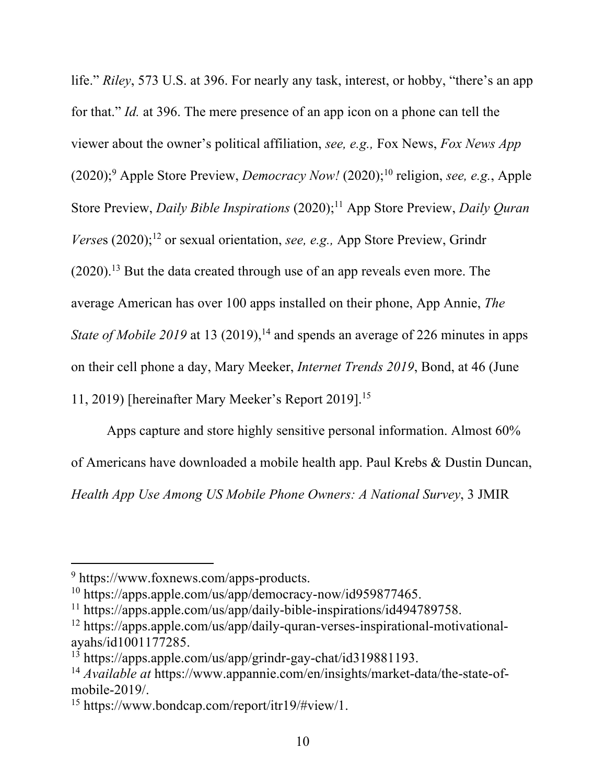life." *Riley*, 573 U.S. at 396. For nearly any task, interest, or hobby, "there's an app for that." *Id.* at 396. The mere presence of an app icon on a phone can tell the viewer about the owner's political affiliation, *see, e.g.,* Fox News, *Fox News App* (2020); <sup>9</sup> Apple Store Preview, *Democracy Now!* (2020); <sup>10</sup> religion, *see, e.g.*, Apple Store Preview, *Daily Bible Inspirations* (2020); <sup>11</sup> App Store Preview, *Daily Quran Verse*s (2020); <sup>12</sup> or sexual orientation, *see, e.g.,* App Store Preview, Grindr  $(2020).$ <sup>13</sup> But the data created through use of an app reveals even more. The average American has over 100 apps installed on their phone, App Annie, *The*  State of Mobile 2019 at 13 (2019),<sup>14</sup> and spends an average of 226 minutes in apps on their cell phone a day, Mary Meeker, *Internet Trends 2019*, Bond, at 46 (June 11, 2019) [hereinafter Mary Meeker's Report 2019].15

Apps capture and store highly sensitive personal information. Almost 60% of Americans have downloaded a mobile health app. Paul Krebs & Dustin Duncan, *Health App Use Among US Mobile Phone Owners: A National Survey*, 3 JMIR

<sup>9</sup> https://www.foxnews.com/apps-products.

<sup>10</sup> https://apps.apple.com/us/app/democracy-now/id959877465.

<sup>11</sup> https://apps.apple.com/us/app/daily-bible-inspirations/id494789758.

<sup>12</sup> https://apps.apple.com/us/app/daily-quran-verses-inspirational-motivationalayahs/id1001177285.

<sup>13</sup> https://apps.apple.com/us/app/grindr-gay-chat/id319881193.

<sup>14</sup> *Available at* https://www.appannie.com/en/insights/market-data/the-state-ofmobile-2019/.

<sup>15</sup> https://www.bondcap.com/report/itr19/#view/1.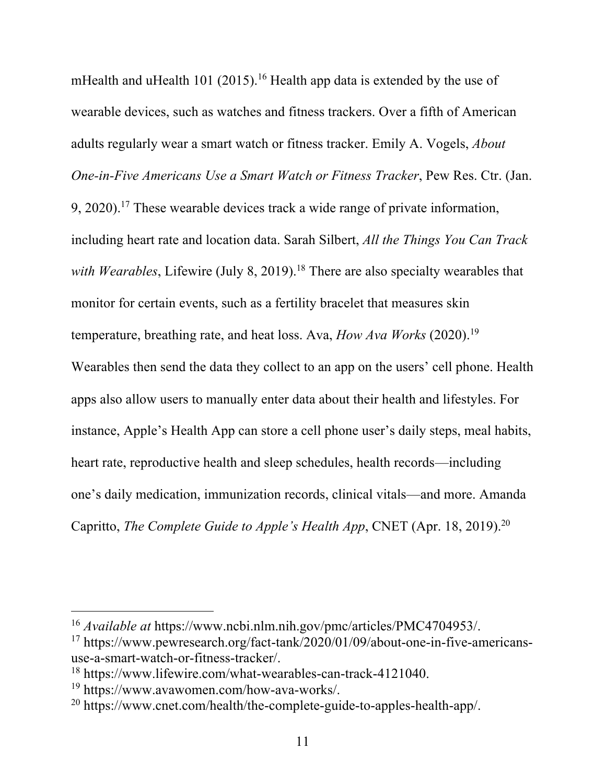mHealth and uHealth 101 (2015).<sup>16</sup> Health app data is extended by the use of wearable devices, such as watches and fitness trackers. Over a fifth of American adults regularly wear a smart watch or fitness tracker. Emily A. Vogels, *About One-in-Five Americans Use a Smart Watch or Fitness Tracker*, Pew Res. Ctr. (Jan.  $9, 2020$ .<sup>17</sup> These wearable devices track a wide range of private information, including heart rate and location data. Sarah Silbert, *All the Things You Can Track*  with Wearables, Lifewire (July 8, 2019).<sup>18</sup> There are also specialty wearables that monitor for certain events, such as a fertility bracelet that measures skin temperature, breathing rate, and heat loss. Ava, *How Ava Works* (2020). 19 Wearables then send the data they collect to an app on the users' cell phone. Health apps also allow users to manually enter data about their health and lifestyles. For instance, Apple's Health App can store a cell phone user's daily steps, meal habits, heart rate, reproductive health and sleep schedules, health records—including one's daily medication, immunization records, clinical vitals—and more. Amanda Capritto, *The Complete Guide to Apple's Health App*, CNET (Apr. 18, 2019). 20

<sup>16</sup> *Available at* https://www.ncbi.nlm.nih.gov/pmc/articles/PMC4704953/.

<sup>17</sup> https://www.pewresearch.org/fact-tank/2020/01/09/about-one-in-five-americansuse-a-smart-watch-or-fitness-tracker/.

<sup>18</sup> https://www.lifewire.com/what-wearables-can-track-4121040.

<sup>19</sup> https://www.avawomen.com/how-ava-works/.

<sup>20</sup> https://www.cnet.com/health/the-complete-guide-to-apples-health-app/.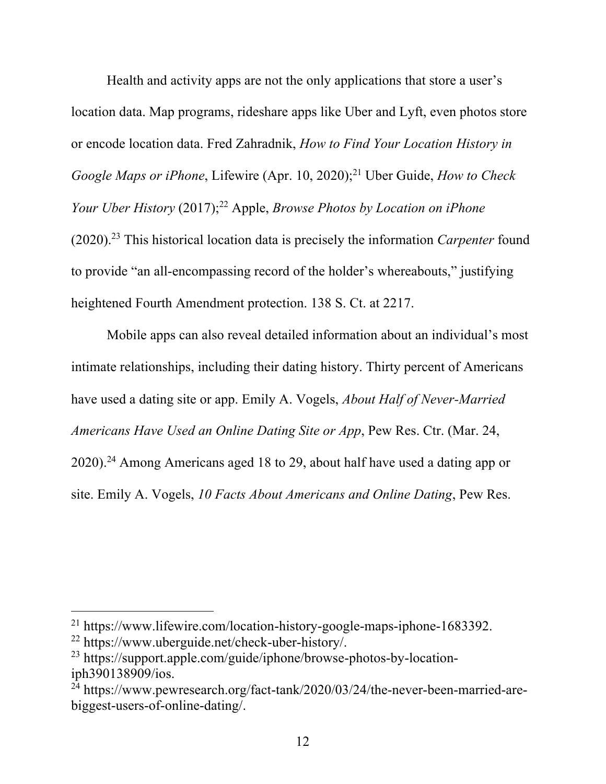Health and activity apps are not the only applications that store a user's location data. Map programs, rideshare apps like Uber and Lyft, even photos store or encode location data. Fred Zahradnik, *How to Find Your Location History in Google Maps or iPhone*, Lifewire (Apr. 10, 2020); <sup>21</sup> Uber Guide, *How to Check Your Uber History* (2017); <sup>22</sup> Apple, *Browse Photos by Location on iPhone* (2020). <sup>23</sup> This historical location data is precisely the information *Carpenter* found to provide "an all-encompassing record of the holder's whereabouts," justifying heightened Fourth Amendment protection. 138 S. Ct. at 2217.

Mobile apps can also reveal detailed information about an individual's most intimate relationships, including their dating history. Thirty percent of Americans have used a dating site or app. Emily A. Vogels, *About Half of Never-Married Americans Have Used an Online Dating Site or App*, Pew Res. Ctr. (Mar. 24,  $2020$ ).<sup>24</sup> Among Americans aged 18 to 29, about half have used a dating app or site. Emily A. Vogels, *10 Facts About Americans and Online Dating*, Pew Res.

<sup>21</sup> https://www.lifewire.com/location-history-google-maps-iphone-1683392.

<sup>22</sup> https://www.uberguide.net/check-uber-history/.

<sup>&</sup>lt;sup>23</sup> https://support.apple.com/guide/iphone/browse-photos-by-locationiph390138909/ios.

 $^{24}$  https://www.pewresearch.org/fact-tank/2020/03/24/the-never-been-married-arebiggest-users-of-online-dating/.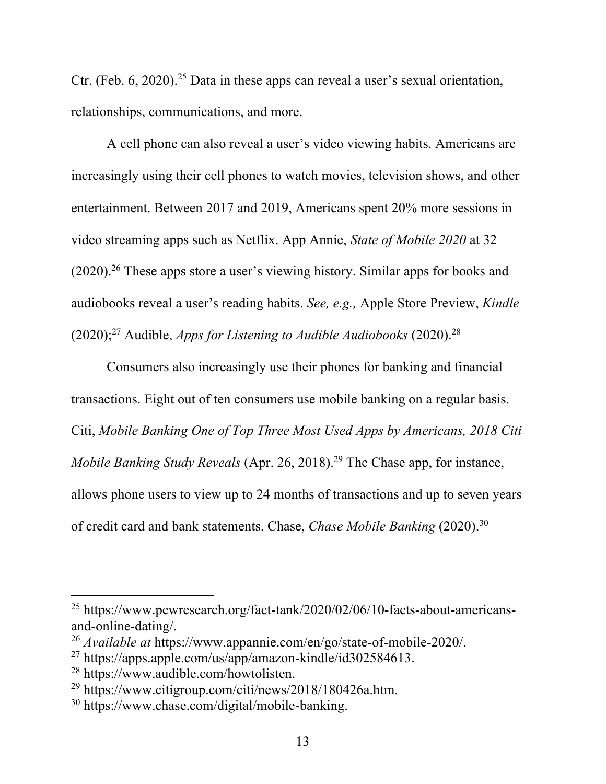Ctr. (Feb. 6, 2020). <sup>25</sup> Data in these apps can reveal a user's sexual orientation, relationships, communications, and more.

A cell phone can also reveal a user's video viewing habits. Americans are increasingly using their cell phones to watch movies, television shows, and other entertainment. Between 2017 and 2019, Americans spent 20% more sessions in video streaming apps such as Netflix. App Annie, *State of Mobile 2020* at 32 (2020). <sup>26</sup> These apps store a user's viewing history. Similar apps for books and audiobooks reveal a user's reading habits. *See, e.g.,* Apple Store Preview, *Kindle* (2020); <sup>27</sup> Audible, *Apps for Listening to Audible Audiobooks* (2020). 28

Consumers also increasingly use their phones for banking and financial transactions. Eight out of ten consumers use mobile banking on a regular basis. Citi, *Mobile Banking One of Top Three Most Used Apps by Americans, 2018 Citi Mobile Banking Study Reveals* (Apr. 26, 2018). <sup>29</sup> The Chase app, for instance, allows phone users to view up to 24 months of transactions and up to seven years of credit card and bank statements. Chase, *Chase Mobile Banking* (2020). 30

<sup>25</sup> https://www.pewresearch.org/fact-tank/2020/02/06/10-facts-about-americansand-online-dating/.

<sup>26</sup> *Available at* https://www.appannie.com/en/go/state-of-mobile-2020/.

 $^{27}$  https://apps.apple.com/us/app/amazon-kindle/id302584613.

<sup>28</sup> https://www.audible.com/howtolisten.

<sup>29</sup> https://www.citigroup.com/citi/news/2018/180426a.htm.

<sup>30</sup> https://www.chase.com/digital/mobile-banking.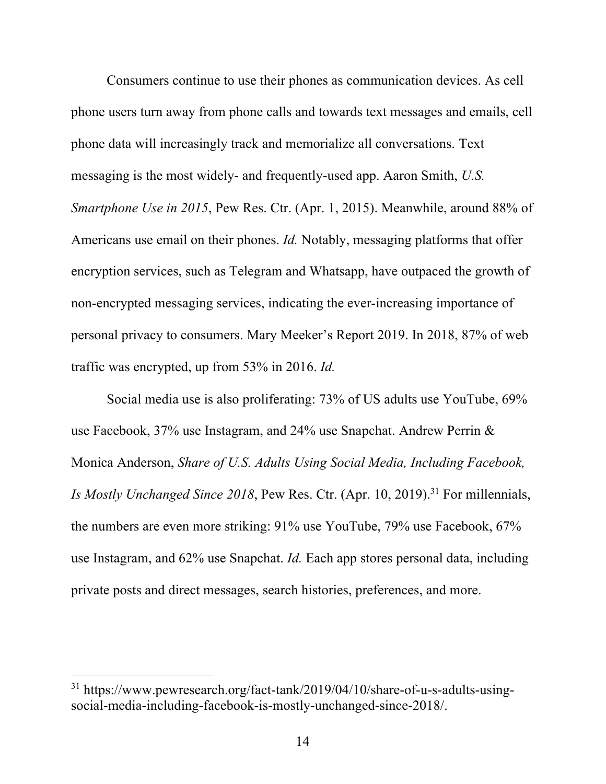Consumers continue to use their phones as communication devices. As cell phone users turn away from phone calls and towards text messages and emails, cell phone data will increasingly track and memorialize all conversations. Text messaging is the most widely- and frequently-used app. Aaron Smith, *U.S. Smartphone Use in 2015*, Pew Res. Ctr. (Apr. 1, 2015). Meanwhile, around 88% of Americans use email on their phones. *Id.* Notably, messaging platforms that offer encryption services, such as Telegram and Whatsapp, have outpaced the growth of non-encrypted messaging services, indicating the ever-increasing importance of personal privacy to consumers. Mary Meeker's Report 2019. In 2018, 87% of web traffic was encrypted, up from 53% in 2016. *Id.*

Social media use is also proliferating: 73% of US adults use YouTube, 69% use Facebook, 37% use Instagram, and 24% use Snapchat. Andrew Perrin & Monica Anderson, *Share of U.S. Adults Using Social Media, Including Facebook, Is Mostly Unchanged Since 2018*, Pew Res. Ctr. (Apr. 10, 2019). <sup>31</sup> For millennials, the numbers are even more striking: 91% use YouTube, 79% use Facebook, 67% use Instagram, and 62% use Snapchat. *Id.* Each app stores personal data, including private posts and direct messages, search histories, preferences, and more.

<sup>31</sup> https://www.pewresearch.org/fact-tank/2019/04/10/share-of-u-s-adults-usingsocial-media-including-facebook-is-mostly-unchanged-since-2018/.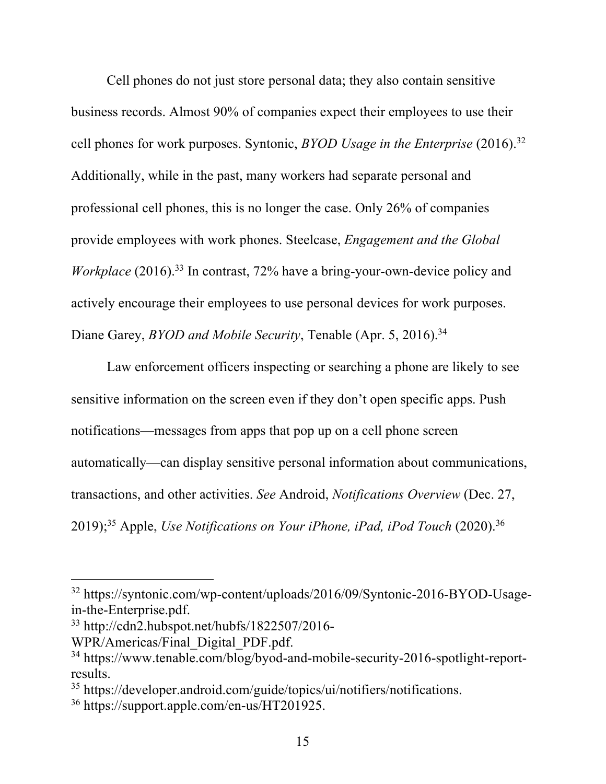Cell phones do not just store personal data; they also contain sensitive business records. Almost 90% of companies expect their employees to use their cell phones for work purposes. Syntonic, *BYOD Usage in the Enterprise* (2016). 32 Additionally, while in the past, many workers had separate personal and professional cell phones, this is no longer the case. Only 26% of companies provide employees with work phones. Steelcase, *Engagement and the Global Workplace* (2016).<sup>33</sup> In contrast, 72% have a bring-your-own-device policy and actively encourage their employees to use personal devices for work purposes. Diane Garey, *BYOD and Mobile Security*, Tenable (Apr. 5, 2016). 34

Law enforcement officers inspecting or searching a phone are likely to see sensitive information on the screen even if they don't open specific apps. Push notifications—messages from apps that pop up on a cell phone screen automatically—can display sensitive personal information about communications, transactions, and other activities. *See* Android, *Notifications Overview* (Dec. 27, 2019); <sup>35</sup> Apple, *Use Notifications on Your iPhone, iPad, iPod Touch* (2020). 36

<sup>32</sup> https://syntonic.com/wp-content/uploads/2016/09/Syntonic-2016-BYOD-Usagein-the-Enterprise.pdf.

<sup>33</sup> http://cdn2.hubspot.net/hubfs/1822507/2016-

WPR/Americas/Final\_Digital\_PDF.pdf.

<sup>34</sup> https://www.tenable.com/blog/byod-and-mobile-security-2016-spotlight-reportresults.

<sup>35</sup> https://developer.android.com/guide/topics/ui/notifiers/notifications.

<sup>36</sup> https://support.apple.com/en-us/HT201925.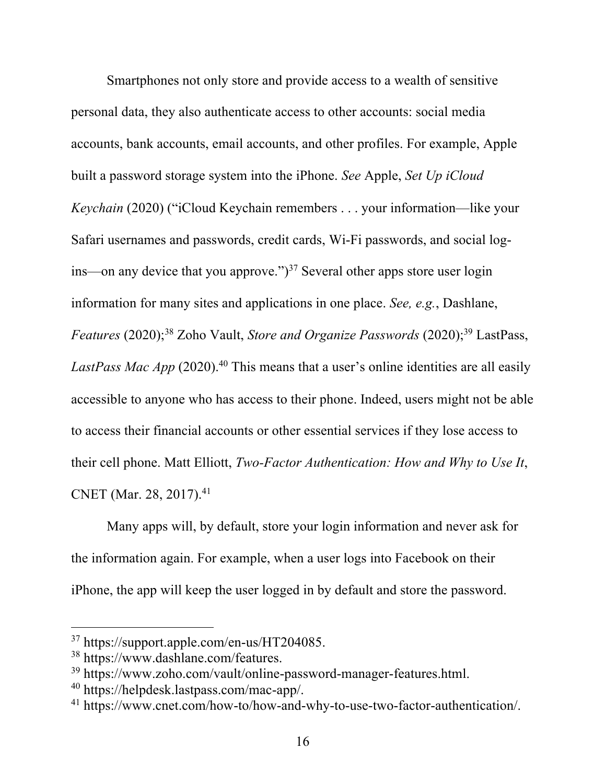Smartphones not only store and provide access to a wealth of sensitive personal data, they also authenticate access to other accounts: social media accounts, bank accounts, email accounts, and other profiles. For example, Apple built a password storage system into the iPhone. *See* Apple, *Set Up iCloud Keychain* (2020) ("iCloud Keychain remembers . . . your information—like your Safari usernames and passwords, credit cards, Wi-Fi passwords, and social logins—on any device that you approve." $)^{37}$  Several other apps store user login information for many sites and applications in one place. *See, e.g.*, Dashlane, *Features* (2020); <sup>38</sup> Zoho Vault, *Store and Organize Passwords* (2020); <sup>39</sup> LastPass, LastPass Mac App (2020).<sup>40</sup> This means that a user's online identities are all easily accessible to anyone who has access to their phone. Indeed, users might not be able to access their financial accounts or other essential services if they lose access to their cell phone. Matt Elliott, *Two-Factor Authentication: How and Why to Use It*, CNET (Mar. 28, 2017). 41

Many apps will, by default, store your login information and never ask for the information again. For example, when a user logs into Facebook on their iPhone, the app will keep the user logged in by default and store the password.

<sup>37</sup> https://support.apple.com/en-us/HT204085.

<sup>38</sup> https://www.dashlane.com/features.

<sup>39</sup> https://www.zoho.com/vault/online-password-manager-features.html.

<sup>40</sup> https://helpdesk.lastpass.com/mac-app/.

<sup>41</sup> https://www.cnet.com/how-to/how-and-why-to-use-two-factor-authentication/.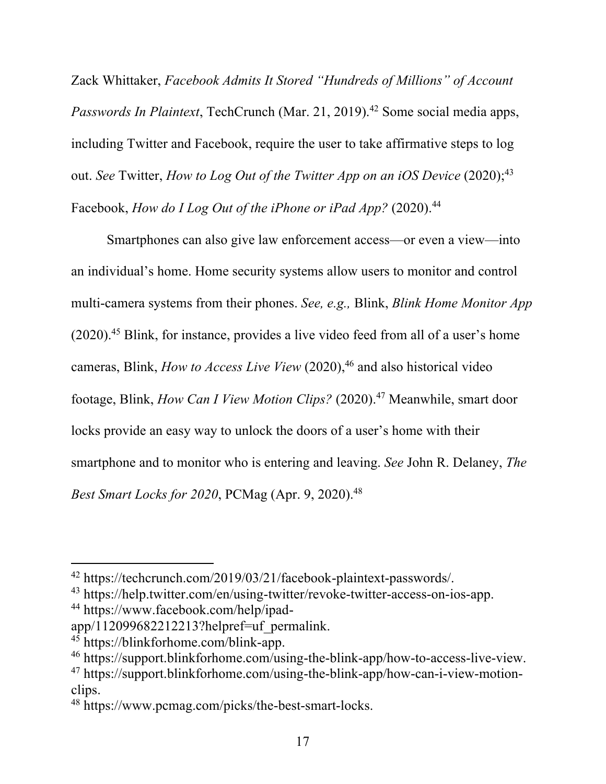Zack Whittaker, *Facebook Admits It Stored "Hundreds of Millions" of Account Passwords In Plaintext*, TechCrunch (Mar. 21, 2019). <sup>42</sup> Some social media apps, including Twitter and Facebook, require the user to take affirmative steps to log out. *See* Twitter, *How to Log Out of the Twitter App on an iOS Device* (2020); 43 Facebook, *How do I Log Out of the iPhone or iPad App*? (2020).<sup>44</sup>

Smartphones can also give law enforcement access—or even a view—into an individual's home. Home security systems allow users to monitor and control multi-camera systems from their phones. *See, e.g.,* Blink, *Blink Home Monitor App*  (2020). <sup>45</sup> Blink, for instance, provides a live video feed from all of a user's home cameras, Blink, *How to Access Live View* (2020), <sup>46</sup> and also historical video footage, Blink, *How Can I View Motion Clips?* (2020). <sup>47</sup> Meanwhile, smart door locks provide an easy way to unlock the doors of a user's home with their smartphone and to monitor who is entering and leaving. *See* John R. Delaney, *The Best Smart Locks for 2020*, PCMag (Apr. 9, 2020). 48

<sup>42</sup> https://techcrunch.com/2019/03/21/facebook-plaintext-passwords/.

<sup>43</sup> https://help.twitter.com/en/using-twitter/revoke-twitter-access-on-ios-app.

<sup>44</sup> https://www.facebook.com/help/ipad-

app/112099682212213?helpref=uf\_permalink.

<sup>45</sup> https://blinkforhome.com/blink-app.

<sup>46</sup> https://support.blinkforhome.com/using-the-blink-app/how-to-access-live-view.

<sup>47</sup> https://support.blinkforhome.com/using-the-blink-app/how-can-i-view-motionclips.

<sup>48</sup> https://www.pcmag.com/picks/the-best-smart-locks.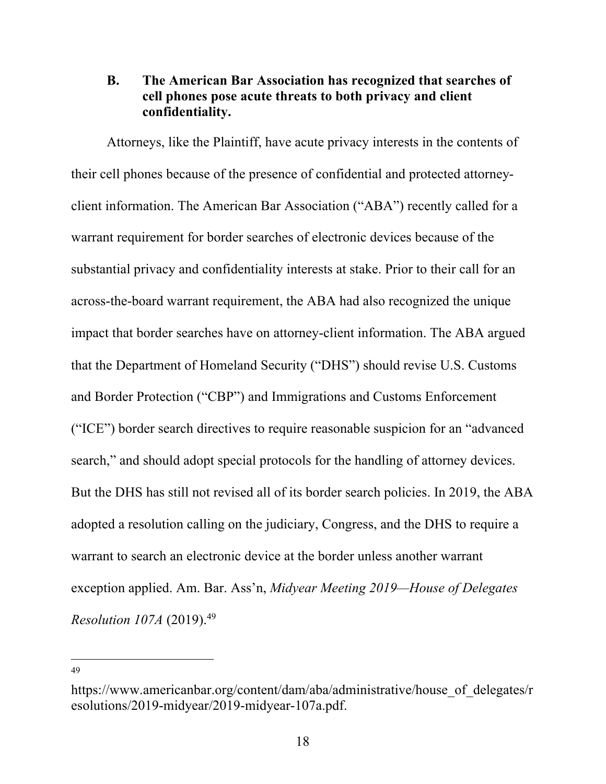# **B. The American Bar Association has recognized that searches of cell phones pose acute threats to both privacy and client confidentiality.**

Attorneys, like the Plaintiff, have acute privacy interests in the contents of their cell phones because of the presence of confidential and protected attorneyclient information. The American Bar Association ("ABA") recently called for a warrant requirement for border searches of electronic devices because of the substantial privacy and confidentiality interests at stake. Prior to their call for an across-the-board warrant requirement, the ABA had also recognized the unique impact that border searches have on attorney-client information. The ABA argued that the Department of Homeland Security ("DHS") should revise U.S. Customs and Border Protection ("CBP") and Immigrations and Customs Enforcement ("ICE") border search directives to require reasonable suspicion for an "advanced search," and should adopt special protocols for the handling of attorney devices. But the DHS has still not revised all of its border search policies. In 2019, the ABA adopted a resolution calling on the judiciary, Congress, and the DHS to require a warrant to search an electronic device at the border unless another warrant exception applied. Am. Bar. Ass'n, *Midyear Meeting 2019—House of Delegates Resolution 107A* (2019). 49

https://www.americanbar.org/content/dam/aba/administrative/house\_of\_delegates/r esolutions/2019-midyear/2019-midyear-107a.pdf.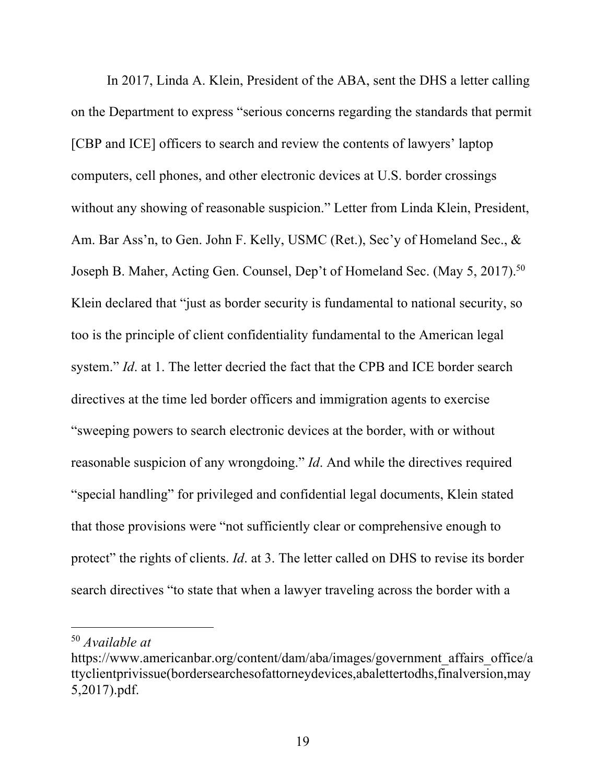In 2017, Linda A. Klein, President of the ABA, sent the DHS a letter calling on the Department to express "serious concerns regarding the standards that permit [CBP and ICE] officers to search and review the contents of lawyers' laptop computers, cell phones, and other electronic devices at U.S. border crossings without any showing of reasonable suspicion." Letter from Linda Klein, President, Am. Bar Ass'n, to Gen. John F. Kelly, USMC (Ret.), Sec'y of Homeland Sec., & Joseph B. Maher, Acting Gen. Counsel, Dep't of Homeland Sec. (May 5, 2017).<sup>50</sup> Klein declared that "just as border security is fundamental to national security, so too is the principle of client confidentiality fundamental to the American legal system." *Id*. at 1. The letter decried the fact that the CPB and ICE border search directives at the time led border officers and immigration agents to exercise "sweeping powers to search electronic devices at the border, with or without reasonable suspicion of any wrongdoing." *Id*. And while the directives required "special handling" for privileged and confidential legal documents, Klein stated that those provisions were "not sufficiently clear or comprehensive enough to protect" the rights of clients. *Id*. at 3. The letter called on DHS to revise its border search directives "to state that when a lawyer traveling across the border with a

<sup>50</sup> *Available at* 

https://www.americanbar.org/content/dam/aba/images/government\_affairs\_office/a ttyclientprivissue(bordersearchesofattorneydevices,abalettertodhs,finalversion,may 5,2017).pdf.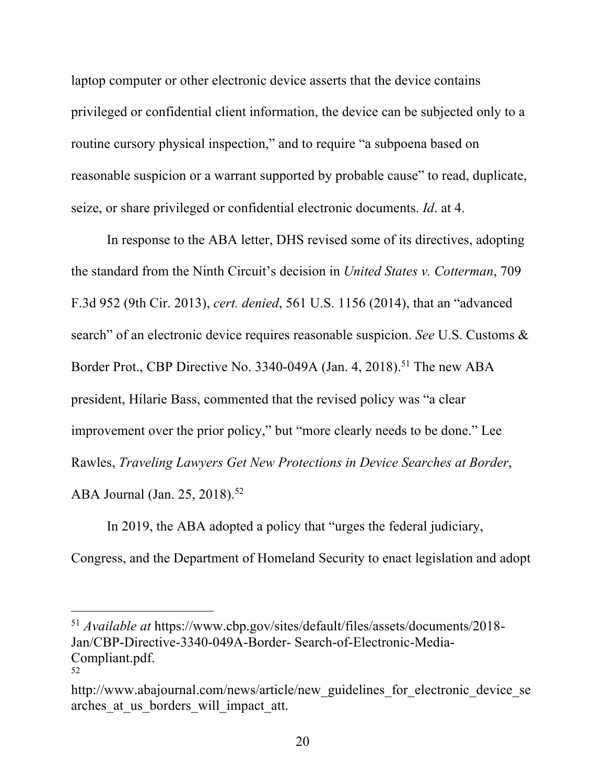laptop computer or other electronic device asserts that the device contains privileged or confidential client information, the device can be subjected only to a routine cursory physical inspection," and to require "a subpoena based on reasonable suspicion or a warrant supported by probable cause" to read, duplicate, seize, or share privileged or confidential electronic documents. *Id*. at 4.

In response to the ABA letter, DHS revised some of its directives, adopting the standard from the Ninth Circuit's decision in *United States v. Cotterman*, 709 F.3d 952 (9th Cir. 2013), *cert. denied*, 561 U.S. 1156 (2014), that an "advanced search" of an electronic device requires reasonable suspicion. *See* U.S. Customs & Border Prot., CBP Directive No. 3340-049A (Jan. 4, 2018).<sup>51</sup> The new ABA president, Hilarie Bass, commented that the revised policy was "a clear improvement over the prior policy," but "more clearly needs to be done." Lee Rawles, *Traveling Lawyers Get New Protections in Device Searches at Border*, ABA Journal (Jan. 25, 2018). 52

In 2019, the ABA adopted a policy that "urges the federal judiciary, Congress, and the Department of Homeland Security to enact legislation and adopt

<sup>51</sup> *Available at* https://www.cbp.gov/sites/default/files/assets/documents/2018- Jan/CBP-Directive-3340-049A-Border- Search-of-Electronic-Media-Compliant.pdf. 52

http://www.abajournal.com/news/article/new guidelines for electronic device se arches at us borders will impact att.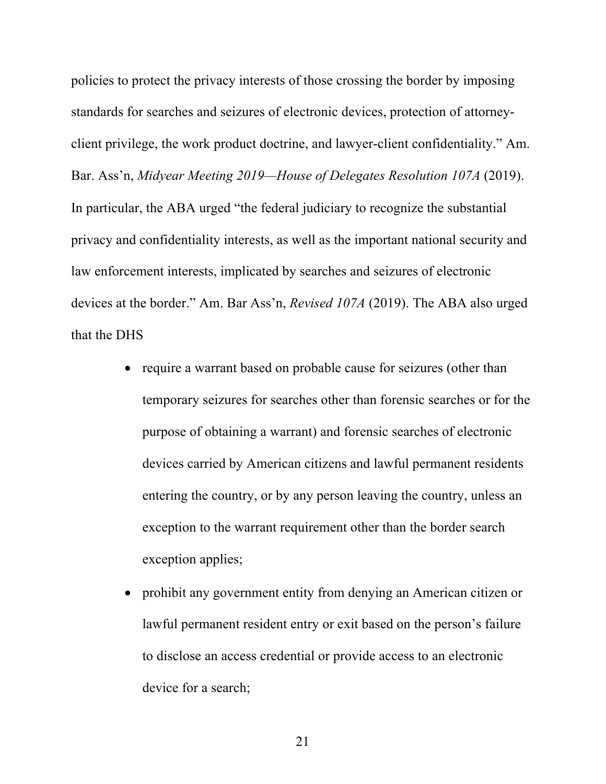policies to protect the privacy interests of those crossing the border by imposing standards for searches and seizures of electronic devices, protection of attorneyclient privilege, the work product doctrine, and lawyer-client confidentiality." Am. Bar. Ass'n, *Midyear Meeting 2019—House of Delegates Resolution 107A* (2019). In particular, the ABA urged "the federal judiciary to recognize the substantial privacy and confidentiality interests, as well as the important national security and law enforcement interests, implicated by searches and seizures of electronic devices at the border." Am. Bar Ass'n, *Revised 107A* (2019). The ABA also urged that the DHS

- require a warrant based on probable cause for seizures (other than temporary seizures for searches other than forensic searches or for the purpose of obtaining a warrant) and forensic searches of electronic devices carried by American citizens and lawful permanent residents entering the country, or by any person leaving the country, unless an exception to the warrant requirement other than the border search exception applies;
- prohibit any government entity from denying an American citizen or lawful permanent resident entry or exit based on the person's failure to disclose an access credential or provide access to an electronic device for a search;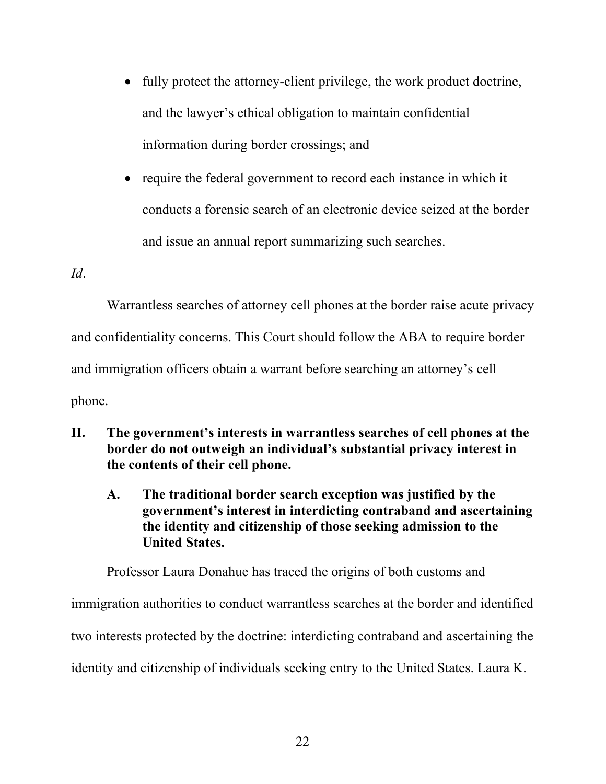- fully protect the attorney-client privilege, the work product doctrine, and the lawyer's ethical obligation to maintain confidential information during border crossings; and
- require the federal government to record each instance in which it conducts a forensic search of an electronic device seized at the border and issue an annual report summarizing such searches.

### *Id*.

Warrantless searches of attorney cell phones at the border raise acute privacy and confidentiality concerns. This Court should follow the ABA to require border and immigration officers obtain a warrant before searching an attorney's cell phone.

- **II. The government's interests in warrantless searches of cell phones at the border do not outweigh an individual's substantial privacy interest in the contents of their cell phone.**
	- **A. The traditional border search exception was justified by the government's interest in interdicting contraband and ascertaining the identity and citizenship of those seeking admission to the United States.**

Professor Laura Donahue has traced the origins of both customs and immigration authorities to conduct warrantless searches at the border and identified two interests protected by the doctrine: interdicting contraband and ascertaining the identity and citizenship of individuals seeking entry to the United States. Laura K.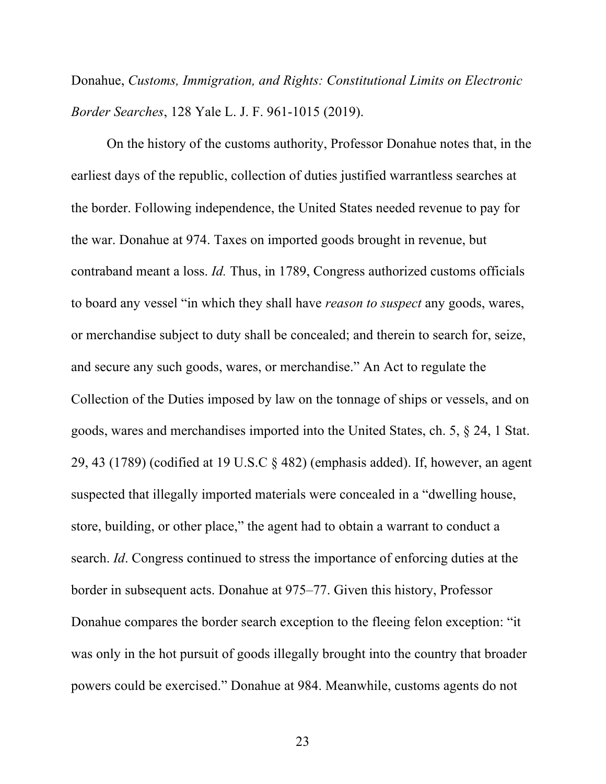Donahue, *Customs, Immigration, and Rights: Constitutional Limits on Electronic Border Searches*, 128 Yale L. J. F. 961-1015 (2019).

On the history of the customs authority, Professor Donahue notes that, in the earliest days of the republic, collection of duties justified warrantless searches at the border. Following independence, the United States needed revenue to pay for the war. Donahue at 974. Taxes on imported goods brought in revenue, but contraband meant a loss. *Id.* Thus, in 1789, Congress authorized customs officials to board any vessel "in which they shall have *reason to suspect* any goods, wares, or merchandise subject to duty shall be concealed; and therein to search for, seize, and secure any such goods, wares, or merchandise." An Act to regulate the Collection of the Duties imposed by law on the tonnage of ships or vessels, and on goods, wares and merchandises imported into the United States, ch. 5, § 24, 1 Stat. 29, 43 (1789) (codified at 19 U.S.C § 482) (emphasis added). If, however, an agent suspected that illegally imported materials were concealed in a "dwelling house, store, building, or other place," the agent had to obtain a warrant to conduct a search. *Id*. Congress continued to stress the importance of enforcing duties at the border in subsequent acts. Donahue at 975–77. Given this history, Professor Donahue compares the border search exception to the fleeing felon exception: "it was only in the hot pursuit of goods illegally brought into the country that broader powers could be exercised." Donahue at 984. Meanwhile, customs agents do not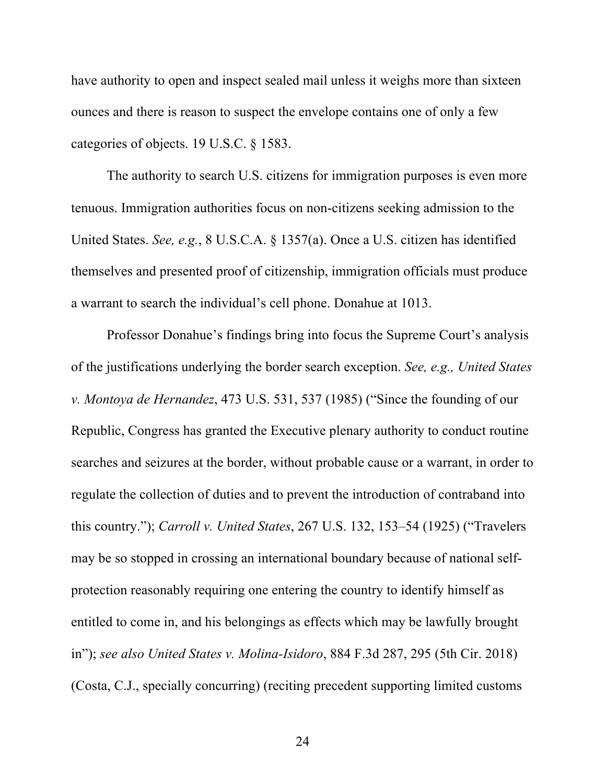have authority to open and inspect sealed mail unless it weighs more than sixteen ounces and there is reason to suspect the envelope contains one of only a few categories of objects. 19 U.S.C. § 1583.

The authority to search U.S. citizens for immigration purposes is even more tenuous. Immigration authorities focus on non-citizens seeking admission to the United States. *See, e.g.*, 8 U.S.C.A. § 1357(a). Once a U.S. citizen has identified themselves and presented proof of citizenship, immigration officials must produce a warrant to search the individual's cell phone. Donahue at 1013.

Professor Donahue's findings bring into focus the Supreme Court's analysis of the justifications underlying the border search exception. *See, e.g., United States v. Montoya de Hernandez*, 473 U.S. 531, 537 (1985) ("Since the founding of our Republic, Congress has granted the Executive plenary authority to conduct routine searches and seizures at the border, without probable cause or a warrant, in order to regulate the collection of duties and to prevent the introduction of contraband into this country."); *Carroll v. United States*, 267 U.S. 132, 153–54 (1925) ("Travelers may be so stopped in crossing an international boundary because of national selfprotection reasonably requiring one entering the country to identify himself as entitled to come in, and his belongings as effects which may be lawfully brought in"); *see also United States v. Molina-Isidoro*, 884 F.3d 287, 295 (5th Cir. 2018) (Costa, C.J., specially concurring) (reciting precedent supporting limited customs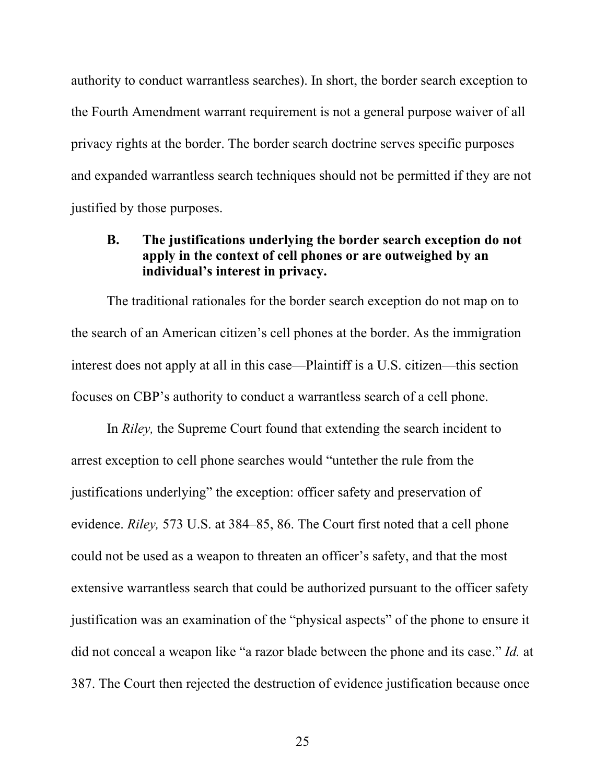authority to conduct warrantless searches). In short, the border search exception to the Fourth Amendment warrant requirement is not a general purpose waiver of all privacy rights at the border. The border search doctrine serves specific purposes and expanded warrantless search techniques should not be permitted if they are not justified by those purposes.

# **B. The justifications underlying the border search exception do not apply in the context of cell phones or are outweighed by an individual's interest in privacy.**

The traditional rationales for the border search exception do not map on to the search of an American citizen's cell phones at the border. As the immigration interest does not apply at all in this case—Plaintiff is a U.S. citizen—this section focuses on CBP's authority to conduct a warrantless search of a cell phone.

In *Riley,* the Supreme Court found that extending the search incident to arrest exception to cell phone searches would "untether the rule from the justifications underlying" the exception: officer safety and preservation of evidence. *Riley,* 573 U.S. at 384–85, 86. The Court first noted that a cell phone could not be used as a weapon to threaten an officer's safety, and that the most extensive warrantless search that could be authorized pursuant to the officer safety justification was an examination of the "physical aspects" of the phone to ensure it did not conceal a weapon like "a razor blade between the phone and its case." *Id.* at 387. The Court then rejected the destruction of evidence justification because once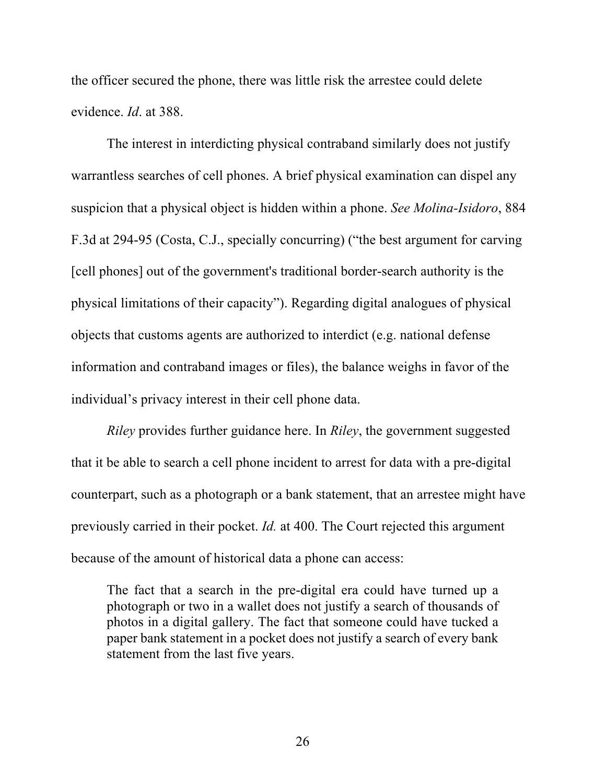the officer secured the phone, there was little risk the arrestee could delete evidence. *Id*. at 388.

The interest in interdicting physical contraband similarly does not justify warrantless searches of cell phones. A brief physical examination can dispel any suspicion that a physical object is hidden within a phone. *See Molina-Isidoro*, 884 F.3d at 294-95 (Costa, C.J., specially concurring) ("the best argument for carving [cell phones] out of the government's traditional border-search authority is the physical limitations of their capacity"). Regarding digital analogues of physical objects that customs agents are authorized to interdict (e.g. national defense information and contraband images or files), the balance weighs in favor of the individual's privacy interest in their cell phone data.

*Riley* provides further guidance here. In *Riley*, the government suggested that it be able to search a cell phone incident to arrest for data with a pre-digital counterpart, such as a photograph or a bank statement, that an arrestee might have previously carried in their pocket. *Id.* at 400. The Court rejected this argument because of the amount of historical data a phone can access:

The fact that a search in the pre-digital era could have turned up a photograph or two in a wallet does not justify a search of thousands of photos in a digital gallery. The fact that someone could have tucked a paper bank statement in a pocket does not justify a search of every bank statement from the last five years.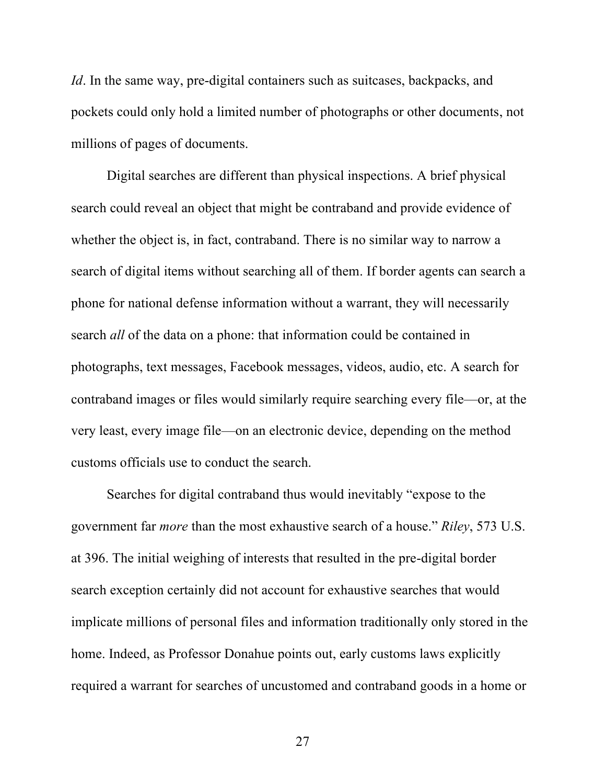*Id*. In the same way, pre-digital containers such as suitcases, backpacks, and pockets could only hold a limited number of photographs or other documents, not millions of pages of documents.

Digital searches are different than physical inspections. A brief physical search could reveal an object that might be contraband and provide evidence of whether the object is, in fact, contraband. There is no similar way to narrow a search of digital items without searching all of them. If border agents can search a phone for national defense information without a warrant, they will necessarily search *all* of the data on a phone: that information could be contained in photographs, text messages, Facebook messages, videos, audio, etc. A search for contraband images or files would similarly require searching every file—or, at the very least, every image file—on an electronic device, depending on the method customs officials use to conduct the search.

Searches for digital contraband thus would inevitably "expose to the government far *more* than the most exhaustive search of a house." *Riley*, 573 U.S. at 396. The initial weighing of interests that resulted in the pre-digital border search exception certainly did not account for exhaustive searches that would implicate millions of personal files and information traditionally only stored in the home. Indeed, as Professor Donahue points out, early customs laws explicitly required a warrant for searches of uncustomed and contraband goods in a home or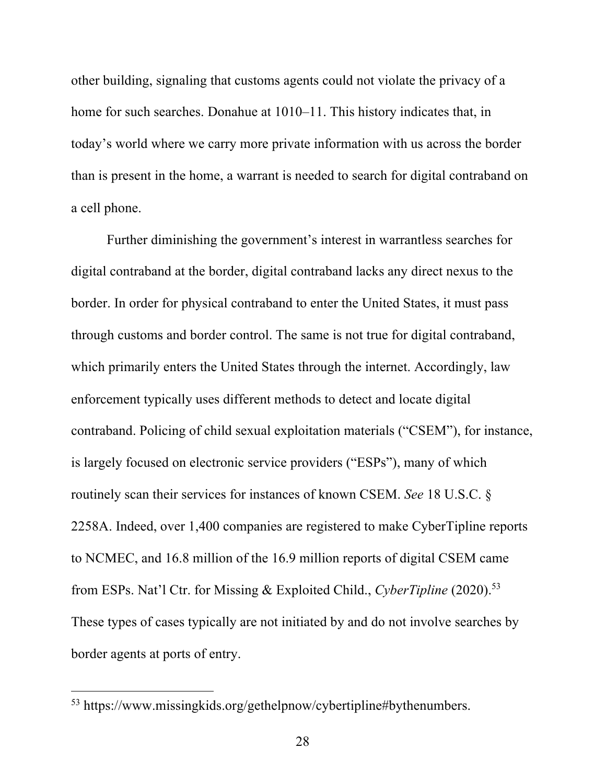other building, signaling that customs agents could not violate the privacy of a home for such searches. Donahue at 1010–11. This history indicates that, in today's world where we carry more private information with us across the border than is present in the home, a warrant is needed to search for digital contraband on a cell phone.

Further diminishing the government's interest in warrantless searches for digital contraband at the border, digital contraband lacks any direct nexus to the border. In order for physical contraband to enter the United States, it must pass through customs and border control. The same is not true for digital contraband, which primarily enters the United States through the internet. Accordingly, law enforcement typically uses different methods to detect and locate digital contraband. Policing of child sexual exploitation materials ("CSEM"), for instance, is largely focused on electronic service providers ("ESPs"), many of which routinely scan their services for instances of known CSEM. *See* 18 U.S.C. § 2258A. Indeed, over 1,400 companies are registered to make CyberTipline reports to NCMEC, and 16.8 million of the 16.9 million reports of digital CSEM came from ESPs. Nat'l Ctr. for Missing & Exploited Child., *CyberTipline* (2020). 53 These types of cases typically are not initiated by and do not involve searches by border agents at ports of entry.

<sup>53</sup> https://www.missingkids.org/gethelpnow/cybertipline#bythenumbers.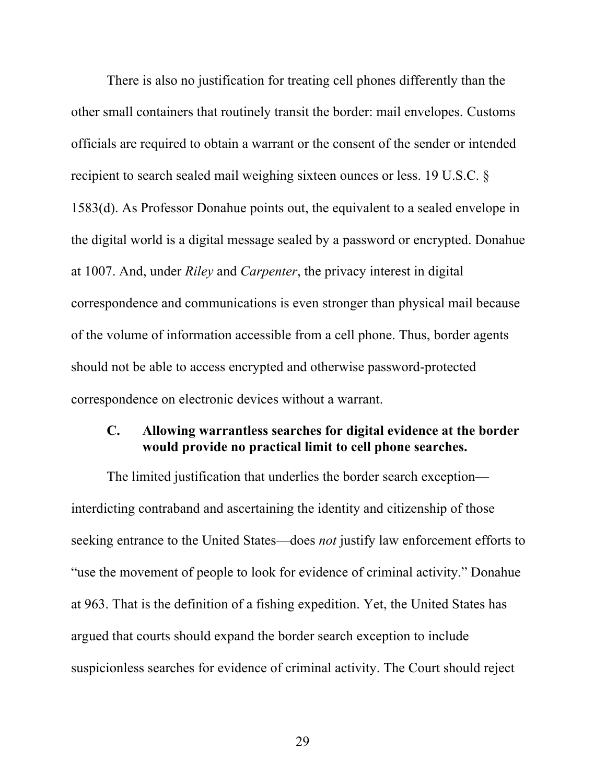There is also no justification for treating cell phones differently than the other small containers that routinely transit the border: mail envelopes. Customs officials are required to obtain a warrant or the consent of the sender or intended recipient to search sealed mail weighing sixteen ounces or less. 19 U.S.C. § 1583(d). As Professor Donahue points out, the equivalent to a sealed envelope in the digital world is a digital message sealed by a password or encrypted. Donahue at 1007. And, under *Riley* and *Carpenter*, the privacy interest in digital correspondence and communications is even stronger than physical mail because of the volume of information accessible from a cell phone. Thus, border agents should not be able to access encrypted and otherwise password-protected correspondence on electronic devices without a warrant.

## **C. Allowing warrantless searches for digital evidence at the border would provide no practical limit to cell phone searches.**

The limited justification that underlies the border search exception interdicting contraband and ascertaining the identity and citizenship of those seeking entrance to the United States—does *not* justify law enforcement efforts to "use the movement of people to look for evidence of criminal activity." Donahue at 963. That is the definition of a fishing expedition. Yet, the United States has argued that courts should expand the border search exception to include suspicionless searches for evidence of criminal activity. The Court should reject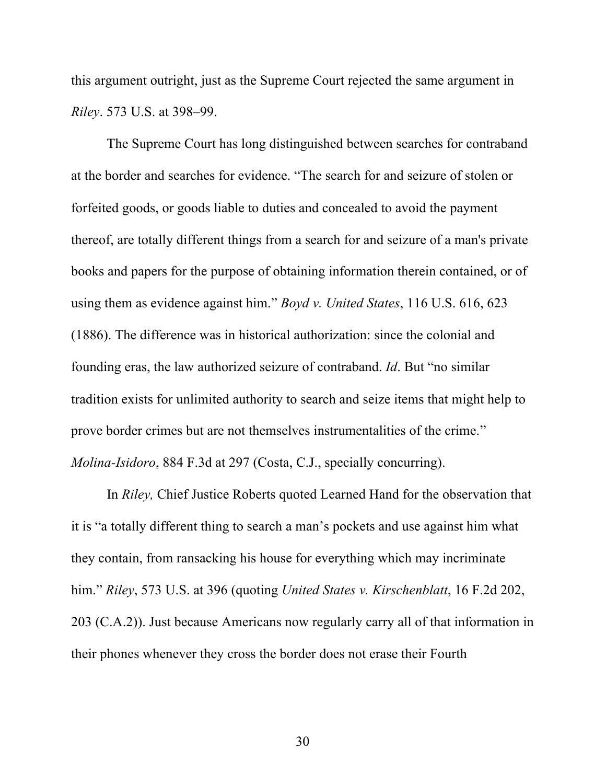this argument outright, just as the Supreme Court rejected the same argument in *Riley*. 573 U.S. at 398–99.

The Supreme Court has long distinguished between searches for contraband at the border and searches for evidence. "The search for and seizure of stolen or forfeited goods, or goods liable to duties and concealed to avoid the payment thereof, are totally different things from a search for and seizure of a man's private books and papers for the purpose of obtaining information therein contained, or of using them as evidence against him." *Boyd v. United States*, 116 U.S. 616, 623 (1886). The difference was in historical authorization: since the colonial and founding eras, the law authorized seizure of contraband. *Id*. But "no similar tradition exists for unlimited authority to search and seize items that might help to prove border crimes but are not themselves instrumentalities of the crime." *Molina-Isidoro*, 884 F.3d at 297 (Costa, C.J., specially concurring).

In *Riley,* Chief Justice Roberts quoted Learned Hand for the observation that it is "a totally different thing to search a man's pockets and use against him what they contain, from ransacking his house for everything which may incriminate him." *Riley*, 573 U.S. at 396 (quoting *United States v. Kirschenblatt*, 16 F.2d 202, 203 (C.A.2)). Just because Americans now regularly carry all of that information in their phones whenever they cross the border does not erase their Fourth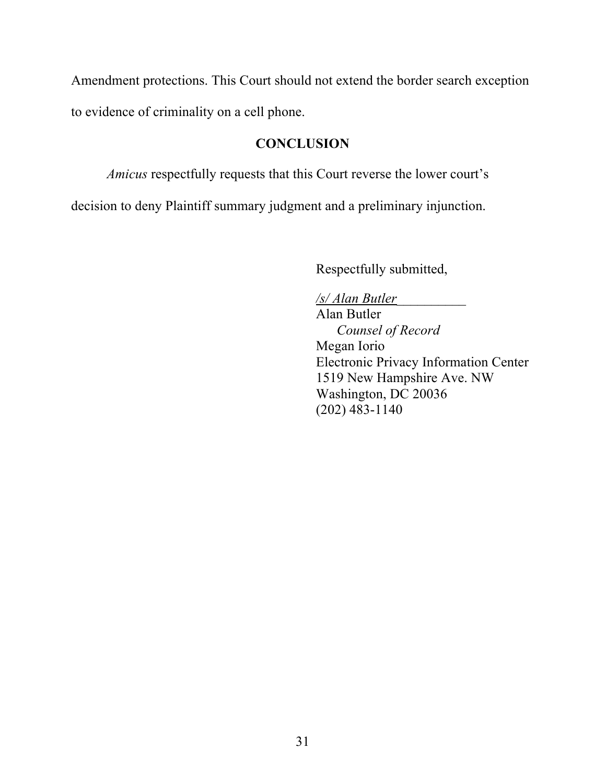Amendment protections. This Court should not extend the border search exception to evidence of criminality on a cell phone.

# **CONCLUSION**

*Amicus* respectfully requests that this Court reverse the lower court's

decision to deny Plaintiff summary judgment and a preliminary injunction.

Respectfully submitted,

*/s/ Alan Butler*\_\_\_\_\_\_\_\_\_\_

Alan Butler *Counsel of Record* Megan Iorio Electronic Privacy Information Center 1519 New Hampshire Ave. NW Washington, DC 20036 (202) 483-1140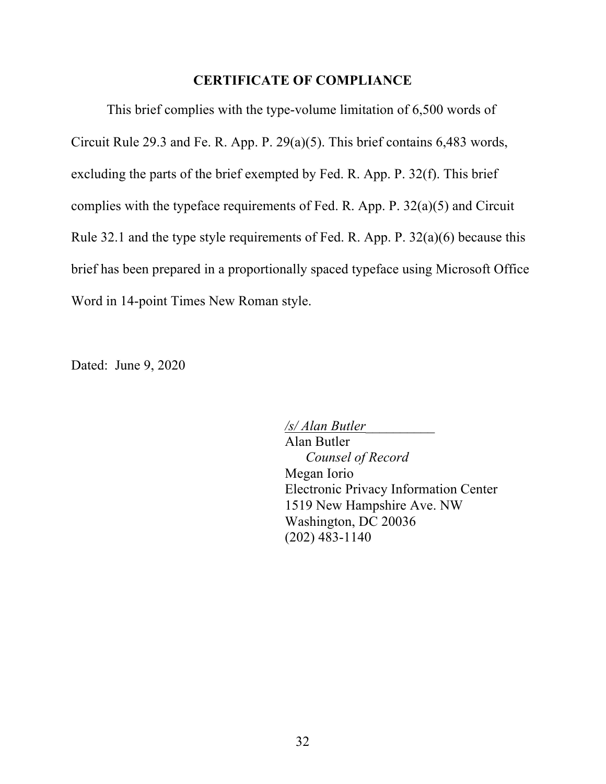### **CERTIFICATE OF COMPLIANCE**

This brief complies with the type-volume limitation of 6,500 words of Circuit Rule 29.3 and Fe. R. App. P. 29(a)(5). This brief contains 6,483 words, excluding the parts of the brief exempted by Fed. R. App. P. 32(f). This brief complies with the typeface requirements of Fed. R. App. P. 32(a)(5) and Circuit Rule 32.1 and the type style requirements of Fed. R. App. P. 32(a)(6) because this brief has been prepared in a proportionally spaced typeface using Microsoft Office Word in 14-point Times New Roman style.

Dated: June 9, 2020

*/s/ Alan Butler*\_\_\_\_\_\_\_\_\_\_ Alan Butler *Counsel of Record* Megan Iorio Electronic Privacy Information Center 1519 New Hampshire Ave. NW Washington, DC 20036 (202) 483-1140